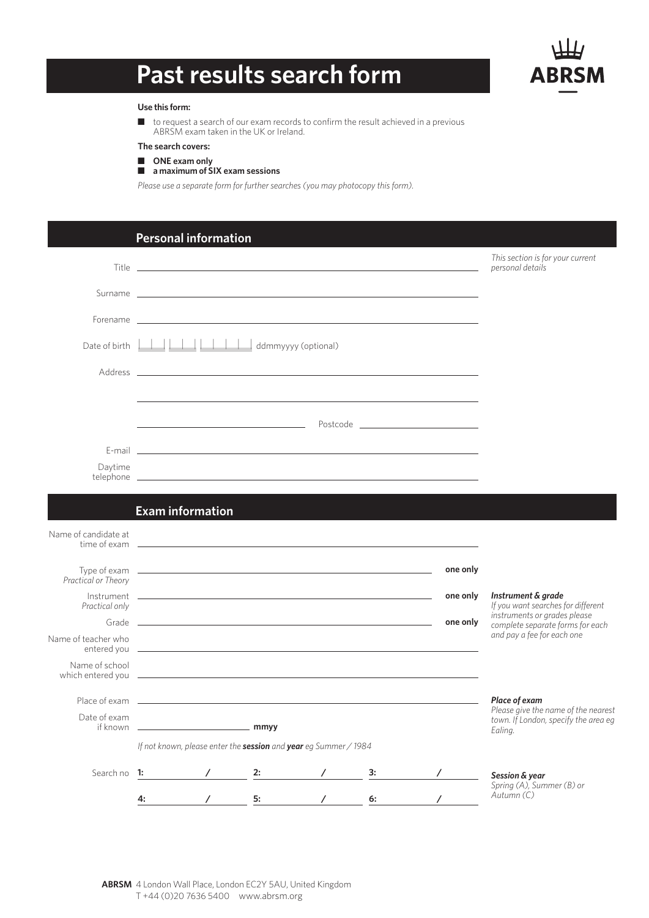# **Past results search form**



#### **Use this form:**

 $\blacksquare$  to request a search of our exam records to confirm the result achieved in a previous ABRSM exam taken in the UK or Ireland.

### **The search covers:**

■ ONE exam only

## n **a maximum of SIX exam sessions**

*Please use a separate form for further searches (you may photocopy this form).*

|                                                                                                                                                                                                                                                        |                         | <b>Personal information</b> |    |                                                                  |                                                                                                                                                                                                                                |          |                                                                                                |
|--------------------------------------------------------------------------------------------------------------------------------------------------------------------------------------------------------------------------------------------------------|-------------------------|-----------------------------|----|------------------------------------------------------------------|--------------------------------------------------------------------------------------------------------------------------------------------------------------------------------------------------------------------------------|----------|------------------------------------------------------------------------------------------------|
|                                                                                                                                                                                                                                                        |                         |                             |    |                                                                  |                                                                                                                                                                                                                                |          | This section is for your current<br>personal details                                           |
|                                                                                                                                                                                                                                                        |                         |                             |    |                                                                  | Surname experience and the second contract of the second contract of the second contract of the second contract of the second contract of the second contract of the second contract of the second contract of the second cont |          |                                                                                                |
|                                                                                                                                                                                                                                                        |                         |                             |    |                                                                  |                                                                                                                                                                                                                                |          |                                                                                                |
|                                                                                                                                                                                                                                                        |                         |                             |    |                                                                  |                                                                                                                                                                                                                                |          |                                                                                                |
|                                                                                                                                                                                                                                                        |                         |                             |    |                                                                  |                                                                                                                                                                                                                                |          |                                                                                                |
|                                                                                                                                                                                                                                                        |                         |                             |    |                                                                  |                                                                                                                                                                                                                                |          |                                                                                                |
|                                                                                                                                                                                                                                                        |                         |                             |    |                                                                  |                                                                                                                                                                                                                                |          |                                                                                                |
|                                                                                                                                                                                                                                                        |                         |                             |    |                                                                  |                                                                                                                                                                                                                                |          |                                                                                                |
| Daytime                                                                                                                                                                                                                                                |                         |                             |    |                                                                  |                                                                                                                                                                                                                                |          |                                                                                                |
|                                                                                                                                                                                                                                                        | <b>Exam information</b> |                             |    |                                                                  |                                                                                                                                                                                                                                |          |                                                                                                |
| Name of candidate at                                                                                                                                                                                                                                   |                         |                             |    |                                                                  |                                                                                                                                                                                                                                |          |                                                                                                |
|                                                                                                                                                                                                                                                        |                         |                             |    |                                                                  |                                                                                                                                                                                                                                |          |                                                                                                |
| Practical or Theory                                                                                                                                                                                                                                    |                         |                             |    |                                                                  |                                                                                                                                                                                                                                | one only |                                                                                                |
| Practical only                                                                                                                                                                                                                                         |                         |                             |    |                                                                  |                                                                                                                                                                                                                                | one only | Instrument & grade<br>If you want searches for different                                       |
|                                                                                                                                                                                                                                                        |                         |                             |    |                                                                  |                                                                                                                                                                                                                                | one only | instruments or grades please<br>complete separate forms for each<br>and pay a fee for each one |
| Name of teacher who                                                                                                                                                                                                                                    |                         |                             |    |                                                                  |                                                                                                                                                                                                                                |          |                                                                                                |
| Name of school<br>which entered you <u>example and the contract of the set of the set of the set of the set of the set of the set of the set of the set of the set of the set of the set of the set of the set of the set of the set of the set of</u> |                         |                             |    |                                                                  |                                                                                                                                                                                                                                |          |                                                                                                |
|                                                                                                                                                                                                                                                        |                         |                             |    |                                                                  |                                                                                                                                                                                                                                |          | Place of exam                                                                                  |
| Date of exam<br>if known                                                                                                                                                                                                                               | mmyy                    |                             |    |                                                                  |                                                                                                                                                                                                                                |          | Please give the name of the nearest<br>town. If London, specify the area eq<br>Ealing.         |
|                                                                                                                                                                                                                                                        |                         |                             |    | If not known, please enter the session and year eg Summer / 1984 |                                                                                                                                                                                                                                |          |                                                                                                |
| Search no 1:                                                                                                                                                                                                                                           |                         |                             | 2: |                                                                  | 3:                                                                                                                                                                                                                             |          | Session & year                                                                                 |
|                                                                                                                                                                                                                                                        | 4:                      |                             | 5: |                                                                  | 6:                                                                                                                                                                                                                             |          | Spring (A), Summer (B) or<br>Autumn (C)                                                        |